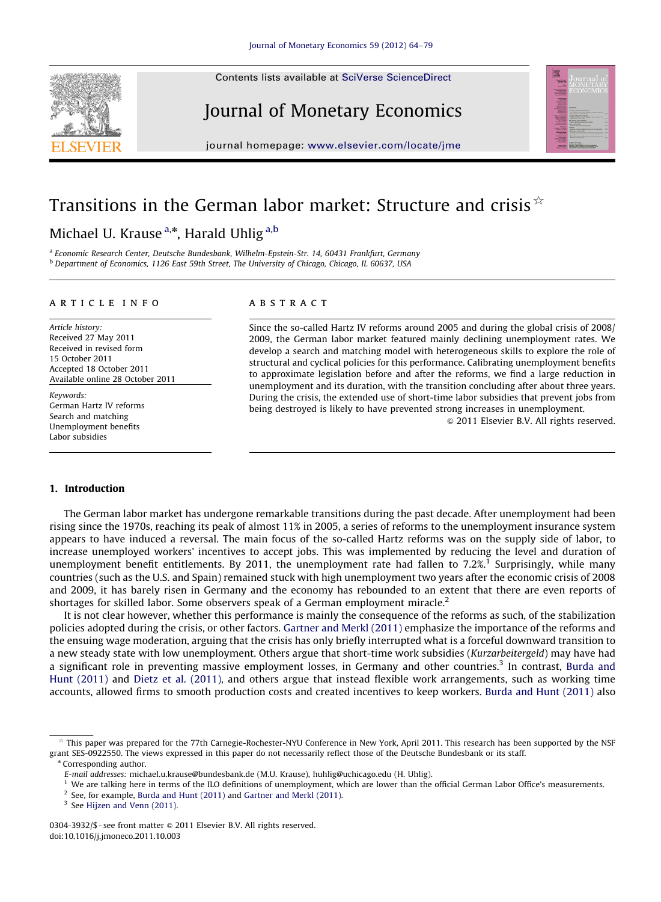Contents lists available at [SciVerse ScienceDirect](www.elsevier.com/locate/jme)



# Journal of Monetary Economics



journal homepage: <www.elsevier.com/locate/jme>

# Transitions in the German labor market: Structure and crisis  $\hat{X}$

## Michael U. Krause <sup>a,\*</sup>, Harald Uhlig <sup>a,b</sup>

<sup>a</sup> Economic Research Center, Deutsche Bundesbank, Wilhelm-Epstein-Str. 14, 60431 Frankfurt, Germany <sup>b</sup> Department of Economics, 1126 East 59th Street, The University of Chicago, Chicago, IL 60637, USA

#### article info

Article history: Received 27 May 2011 Received in revised form 15 October 2011 Accepted 18 October 2011 Available online 28 October 2011

Keywords: German Hartz IV reforms Search and matching Unemployment benefits Labor subsidies

#### **ABSTRACT**

Since the so-called Hartz IV reforms around 2005 and during the global crisis of 2008/ 2009, the German labor market featured mainly declining unemployment rates. We develop a search and matching model with heterogeneous skills to explore the role of structural and cyclical policies for this performance. Calibrating unemployment benefits to approximate legislation before and after the reforms, we find a large reduction in unemployment and its duration, with the transition concluding after about three years. During the crisis, the extended use of short-time labor subsidies that prevent jobs from being destroyed is likely to have prevented strong increases in unemployment.

 $\odot$  2011 Elsevier B.V. All rights reserved.

#### 1. Introduction

The German labor market has undergone remarkable transitions during the past decade. After unemployment had been rising since the 1970s, reaching its peak of almost 11% in 2005, a series of reforms to the unemployment insurance system appears to have induced a reversal. The main focus of the so-called Hartz reforms was on the supply side of labor, to increase unemployed workers' incentives to accept jobs. This was implemented by reducing the level and duration of unemployment benefit entitlements. By 2011, the unemployment rate had fallen to 7.2%.<sup>1</sup> Surprisingly, while many countries (such as the U.S. and Spain) remained stuck with high unemployment two years after the economic crisis of 2008 and 2009, it has barely risen in Germany and the economy has rebounded to an extent that there are even reports of shortages for skilled labor. Some observers speak of a German employment miracle.<sup>2</sup>

It is not clear however, whether this performance is mainly the consequence of the reforms as such, of the stabilization policies adopted during the crisis, or other factors. [Gartner and Merkl \(2011\)](#page-15-0) emphasize the importance of the reforms and the ensuing wage moderation, arguing that the crisis has only briefly interrupted what is a forceful downward transition to a new steady state with low unemployment. Others argue that short-time work subsidies (Kurzarbeitergeld) may have had a significant role in preventing massive employment losses, in Germany and other countries.<sup>3</sup> In contrast, [Burda and](#page-15-0) [Hunt \(2011\)](#page-15-0) and [Dietz et al. \(2011\)](#page-15-0), and others argue that instead flexible work arrangements, such as working time accounts, allowed firms to smooth production costs and created incentives to keep workers. [Burda and Hunt \(2011\)](#page-15-0) also

Corresponding author.

<sup>2</sup> See, for example, [Burda and Hunt \(2011\)](#page-15-0) and [Gartner and Merkl \(2011\)](#page-15-0).

<sup>3</sup> See [Hijzen and Venn \(2011\)](#page-15-0).

This paper was prepared for the 77th Carnegie-Rochester-NYU Conference in New York, April 2011. This research has been supported by the NSF grant SES-0922550. The views expressed in this paper do not necessarily reflect those of the Deutsche Bundesbank or its staff.

E-mail addresses: [michael.u.krause@bundesbank.de \(M.U. Krause\),](mailto:michael.u.krause@bundesbank.de) [huhlig@uchicago.edu \(H. Uhlig\).](mailto:huhlig@uchicago.edu)

 $<sup>1</sup>$  We are talking here in terms of the ILO definitions of unemployment, which are lower than the official German Labor Office's measurements.</sup>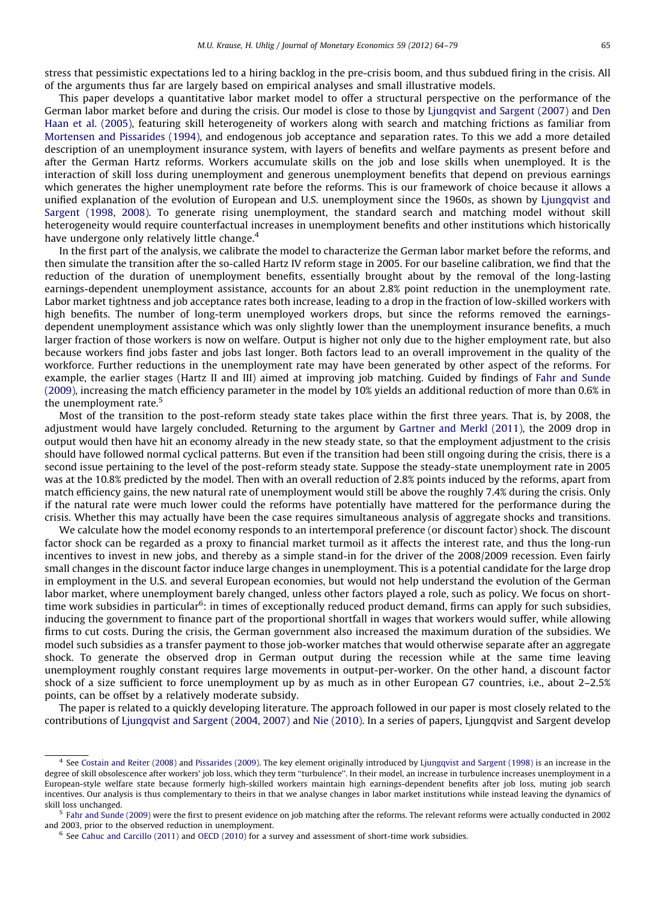stress that pessimistic expectations led to a hiring backlog in the pre-crisis boom, and thus subdued firing in the crisis. All of the arguments thus far are largely based on empirical analyses and small illustrative models.

This paper develops a quantitative labor market model to offer a structural perspective on the performance of the German labor market before and during the crisis. Our model is close to those by [Ljungqvist and Sargent \(2007\)](#page-15-0) and [Den](#page-15-0) [Haan et al. \(2005\),](#page-15-0) featuring skill heterogeneity of workers along with search and matching frictions as familiar from [Mortensen and Pissarides \(1994\),](#page-15-0) and endogenous job acceptance and separation rates. To this we add a more detailed description of an unemployment insurance system, with layers of benefits and welfare payments as present before and after the German Hartz reforms. Workers accumulate skills on the job and lose skills when unemployed. It is the interaction of skill loss during unemployment and generous unemployment benefits that depend on previous earnings which generates the higher unemployment rate before the reforms. This is our framework of choice because it allows a unified explanation of the evolution of European and U.S. unemployment since the 1960s, as shown by [Ljungqvist and](#page-15-0) [Sargent \(1998](#page-15-0), [2008\).](#page-15-0) To generate rising unemployment, the standard search and matching model without skill heterogeneity would require counterfactual increases in unemployment benefits and other institutions which historically have undergone only relatively little change.<sup>4</sup>

In the first part of the analysis, we calibrate the model to characterize the German labor market before the reforms, and then simulate the transition after the so-called Hartz IV reform stage in 2005. For our baseline calibration, we find that the reduction of the duration of unemployment benefits, essentially brought about by the removal of the long-lasting earnings-dependent unemployment assistance, accounts for an about 2.8% point reduction in the unemployment rate. Labor market tightness and job acceptance rates both increase, leading to a drop in the fraction of low-skilled workers with high benefits. The number of long-term unemployed workers drops, but since the reforms removed the earningsdependent unemployment assistance which was only slightly lower than the unemployment insurance benefits, a much larger fraction of those workers is now on welfare. Output is higher not only due to the higher employment rate, but also because workers find jobs faster and jobs last longer. Both factors lead to an overall improvement in the quality of the workforce. Further reductions in the unemployment rate may have been generated by other aspect of the reforms. For example, the earlier stages (Hartz II and III) aimed at improving job matching. Guided by findings of [Fahr and Sunde](#page-15-0) [\(2009\)](#page-15-0), increasing the match efficiency parameter in the model by 10% yields an additional reduction of more than 0.6% in the unemployment rate.<sup>5</sup>

Most of the transition to the post-reform steady state takes place within the first three years. That is, by 2008, the adjustment would have largely concluded. Returning to the argument by [Gartner and Merkl \(2011\),](#page-15-0) the 2009 drop in output would then have hit an economy already in the new steady state, so that the employment adjustment to the crisis should have followed normal cyclical patterns. But even if the transition had been still ongoing during the crisis, there is a second issue pertaining to the level of the post-reform steady state. Suppose the steady-state unemployment rate in 2005 was at the 10.8% predicted by the model. Then with an overall reduction of 2.8% points induced by the reforms, apart from match efficiency gains, the new natural rate of unemployment would still be above the roughly 7.4% during the crisis. Only if the natural rate were much lower could the reforms have potentially have mattered for the performance during the crisis. Whether this may actually have been the case requires simultaneous analysis of aggregate shocks and transitions.

We calculate how the model economy responds to an intertemporal preference (or discount factor) shock. The discount factor shock can be regarded as a proxy to financial market turmoil as it affects the interest rate, and thus the long-run incentives to invest in new jobs, and thereby as a simple stand-in for the driver of the 2008/2009 recession. Even fairly small changes in the discount factor induce large changes in unemployment. This is a potential candidate for the large drop in employment in the U.S. and several European economies, but would not help understand the evolution of the German labor market, where unemployment barely changed, unless other factors played a role, such as policy. We focus on shorttime work subsidies in particular<sup>6</sup>: in times of exceptionally reduced product demand, firms can apply for such subsidies, inducing the government to finance part of the proportional shortfall in wages that workers would suffer, while allowing firms to cut costs. During the crisis, the German government also increased the maximum duration of the subsidies. We model such subsidies as a transfer payment to those job-worker matches that would otherwise separate after an aggregate shock. To generate the observed drop in German output during the recession while at the same time leaving unemployment roughly constant requires large movements in output-per-worker. On the other hand, a discount factor shock of a size sufficient to force unemployment up by as much as in other European G7 countries, i.e., about 2–2.5% points, can be offset by a relatively moderate subsidy.

The paper is related to a quickly developing literature. The approach followed in our paper is most closely related to the contributions of [Ljungqvist and Sargent \(2004](#page-15-0), [2007\)](#page-15-0) and [Nie \(2010\)](#page-15-0). In a series of papers, Ljungqvist and Sargent develop

<sup>4</sup> See [Costain and Reiter \(2008\)](#page-15-0) and [Pissarides \(2009\).](#page-15-0) The key element originally introduced by [Ljungqvist and Sargent \(1998\)](#page-15-0) is an increase in the degree of skill obsolescence after workers' job loss, which they term ''turbulence''. In their model, an increase in turbulence increases unemployment in a European-style welfare state because formerly high-skilled workers maintain high earnings-dependent benefits after job loss, muting job search incentives. Our analysis is thus complementary to theirs in that we analyse changes in labor market institutions while instead leaving the dynamics of skill loss unchanged.

<sup>&</sup>lt;sup>5</sup> [Fahr and Sunde \(2009\)](#page-15-0) were the first to present evidence on job matching after the reforms. The relevant reforms were actually conducted in 2002 and 2003, prior to the observed reduction in unemployment.

 $6$  See [Cahuc and Carcillo \(2011\)](#page-15-0) and [OECD \(2010\)](#page-15-0) for a survey and assessment of short-time work subsidies.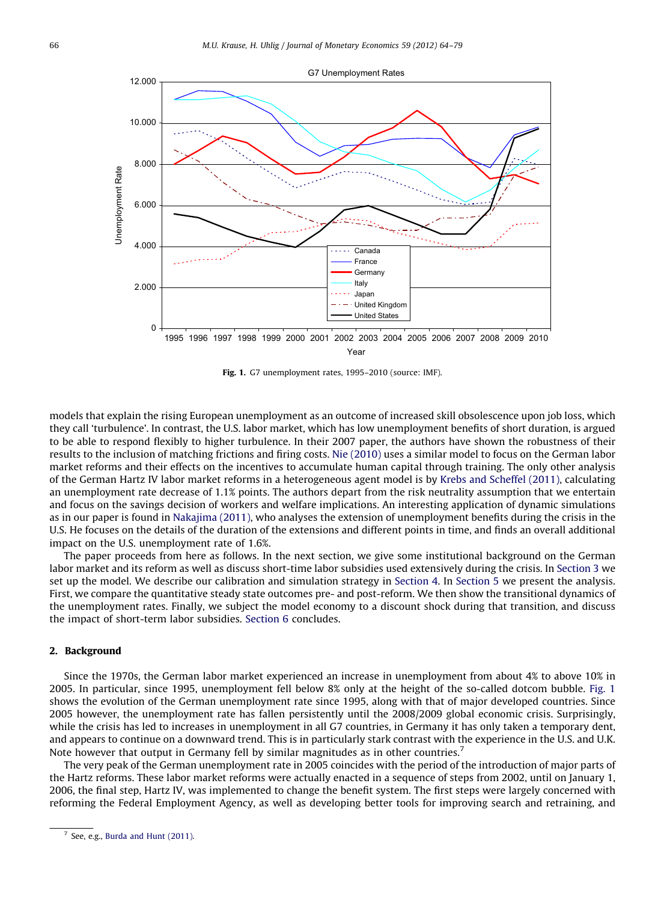<span id="page-2-0"></span>

Fig. 1. G7 unemployment rates, 1995–2010 (source: IMF).

models that explain the rising European unemployment as an outcome of increased skill obsolescence upon job loss, which they call 'turbulence'. In contrast, the U.S. labor market, which has low unemployment benefits of short duration, is argued to be able to respond flexibly to higher turbulence. In their 2007 paper, the authors have shown the robustness of their results to the inclusion of matching frictions and firing costs. [Nie \(2010\)](#page-15-0) uses a similar model to focus on the German labor market reforms and their effects on the incentives to accumulate human capital through training. The only other analysis of the German Hartz IV labor market reforms in a heterogeneous agent model is by [Krebs and Scheffel \(2011\)](#page-15-0), calculating an unemployment rate decrease of 1.1% points. The authors depart from the risk neutrality assumption that we entertain and focus on the savings decision of workers and welfare implications. An interesting application of dynamic simulations as in our paper is found in [Nakajima \(2011\)](#page-15-0), who analyses the extension of unemployment benefits during the crisis in the U.S. He focuses on the details of the duration of the extensions and different points in time, and finds an overall additional impact on the U.S. unemployment rate of 1.6%.

The paper proceeds from here as follows. In the next section, we give some institutional background on the German labor market and its reform as well as discuss short-time labor subsidies used extensively during the crisis. In [Section 3](#page-4-0) we set up the model. We describe our calibration and simulation strategy in [Section 4.](#page-6-0) In [Section 5](#page-8-0) we present the analysis. First, we compare the quantitative steady state outcomes pre- and post-reform. We then show the transitional dynamics of the unemployment rates. Finally, we subject the model economy to a discount shock during that transition, and discuss the impact of short-term labor subsidies. [Section 6](#page-13-0) concludes.

#### 2. Background

Since the 1970s, the German labor market experienced an increase in unemployment from about 4% to above 10% in 2005. In particular, since 1995, unemployment fell below 8% only at the height of the so-called dotcom bubble. Fig. 1 shows the evolution of the German unemployment rate since 1995, along with that of major developed countries. Since 2005 however, the unemployment rate has fallen persistently until the 2008/2009 global economic crisis. Surprisingly, while the crisis has led to increases in unemployment in all G7 countries, in Germany it has only taken a temporary dent, and appears to continue on a downward trend. This is in particularly stark contrast with the experience in the U.S. and U.K. Note however that output in Germany fell by similar magnitudes as in other countries.<sup>7</sup>

The very peak of the German unemployment rate in 2005 coincides with the period of the introduction of major parts of the Hartz reforms. These labor market reforms were actually enacted in a sequence of steps from 2002, until on January 1, 2006, the final step, Hartz IV, was implemented to change the benefit system. The first steps were largely concerned with reforming the Federal Employment Agency, as well as developing better tools for improving search and retraining, and

 $<sup>7</sup>$  See, e.g., [Burda and Hunt \(2011\).](#page-15-0)</sup>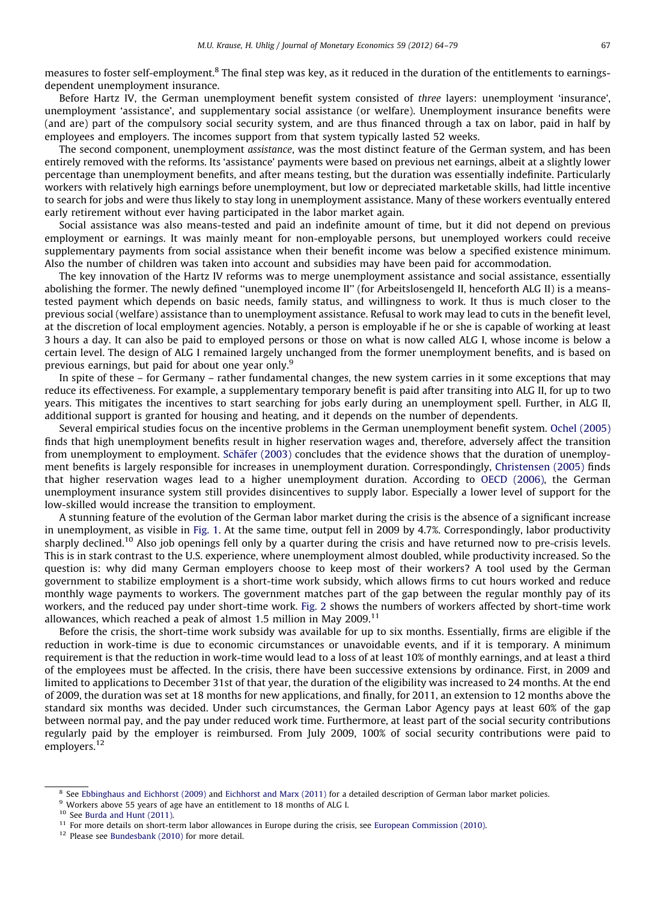measures to foster self-employment.<sup>8</sup> The final step was key, as it reduced in the duration of the entitlements to earningsdependent unemployment insurance.

Before Hartz IV, the German unemployment benefit system consisted of three layers: unemployment 'insurance', unemployment 'assistance', and supplementary social assistance (or welfare). Unemployment insurance benefits were (and are) part of the compulsory social security system, and are thus financed through a tax on labor, paid in half by employees and employers. The incomes support from that system typically lasted 52 weeks.

The second component, unemployment assistance, was the most distinct feature of the German system, and has been entirely removed with the reforms. Its 'assistance' payments were based on previous net earnings, albeit at a slightly lower percentage than unemployment benefits, and after means testing, but the duration was essentially indefinite. Particularly workers with relatively high earnings before unemployment, but low or depreciated marketable skills, had little incentive to search for jobs and were thus likely to stay long in unemployment assistance. Many of these workers eventually entered early retirement without ever having participated in the labor market again.

Social assistance was also means-tested and paid an indefinite amount of time, but it did not depend on previous employment or earnings. It was mainly meant for non-employable persons, but unemployed workers could receive supplementary payments from social assistance when their benefit income was below a specified existence minimum. Also the number of children was taken into account and subsidies may have been paid for accommodation.

The key innovation of the Hartz IV reforms was to merge unemployment assistance and social assistance, essentially abolishing the former. The newly defined ''unemployed income II'' (for Arbeitslosengeld II, henceforth ALG II) is a meanstested payment which depends on basic needs, family status, and willingness to work. It thus is much closer to the previous social (welfare) assistance than to unemployment assistance. Refusal to work may lead to cuts in the benefit level, at the discretion of local employment agencies. Notably, a person is employable if he or she is capable of working at least 3 hours a day. It can also be paid to employed persons or those on what is now called ALG I, whose income is below a certain level. The design of ALG I remained largely unchanged from the former unemployment benefits, and is based on previous earnings, but paid for about one year only.<sup>9</sup>

In spite of these – for Germany – rather fundamental changes, the new system carries in it some exceptions that may reduce its effectiveness. For example, a supplementary temporary benefit is paid after transiting into ALG II, for up to two years. This mitigates the incentives to start searching for jobs early during an unemployment spell. Further, in ALG II, additional support is granted for housing and heating, and it depends on the number of dependents.

Several empirical studies focus on the incentive problems in the German unemployment benefit system. [Ochel \(2005\)](#page-15-0) finds that high unemployment benefits result in higher reservation wages and, therefore, adversely affect the transition from unemployment to employment. [Sch](#page-15-0)a[fer \(2003\)](#page-15-0) concludes that the evidence shows that the duration of unemployment benefits is largely responsible for increases in unemployment duration. Correspondingly, [Christensen \(2005\)](#page-15-0) finds that higher reservation wages lead to a higher unemployment duration. According to [OECD \(2006\)](#page-15-0), the German unemployment insurance system still provides disincentives to supply labor. Especially a lower level of support for the low-skilled would increase the transition to employment.

A stunning feature of the evolution of the German labor market during the crisis is the absence of a significant increase in unemployment, as visible in [Fig. 1](#page-2-0). At the same time, output fell in 2009 by 4.7%. Correspondingly, labor productivity sharply declined.<sup>10</sup> Also job openings fell only by a quarter during the crisis and have returned now to pre-crisis levels. This is in stark contrast to the U.S. experience, where unemployment almost doubled, while productivity increased. So the question is: why did many German employers choose to keep most of their workers? A tool used by the German government to stabilize employment is a short-time work subsidy, which allows firms to cut hours worked and reduce monthly wage payments to workers. The government matches part of the gap between the regular monthly pay of its workers, and the reduced pay under short-time work. [Fig. 2](#page-4-0) shows the numbers of workers affected by short-time work allowances, which reached a peak of almost 1.5 million in May 2009.<sup>11</sup>

Before the crisis, the short-time work subsidy was available for up to six months. Essentially, firms are eligible if the reduction in work-time is due to economic circumstances or unavoidable events, and if it is temporary. A minimum requirement is that the reduction in work-time would lead to a loss of at least 10% of monthly earnings, and at least a third of the employees must be affected. In the crisis, there have been successive extensions by ordinance. First, in 2009 and limited to applications to December 31st of that year, the duration of the eligibility was increased to 24 months. At the end of 2009, the duration was set at 18 months for new applications, and finally, for 2011, an extension to 12 months above the standard six months was decided. Under such circumstances, the German Labor Agency pays at least 60% of the gap between normal pay, and the pay under reduced work time. Furthermore, at least part of the social security contributions regularly paid by the employer is reimbursed. From July 2009, 100% of social security contributions were paid to employers.<sup>12</sup>

<sup>9</sup> Workers above 55 years of age have an entitlement to 18 months of ALG I.

 $8$  See [Ebbinghaus and Eichhorst \(2009\)](#page-15-0) and [Eichhorst and Marx \(2011\)](#page-15-0) for a detailed description of German labor market policies.

<sup>10</sup> See [Burda and Hunt \(2011\)](#page-15-0).

 $11$  For more details on short-term labor allowances in Europe during the crisis, see [European Commission \(2010\).](#page-15-0)

<sup>&</sup>lt;sup>12</sup> Please see [Bundesbank \(2010\)](#page-15-0) for more detail.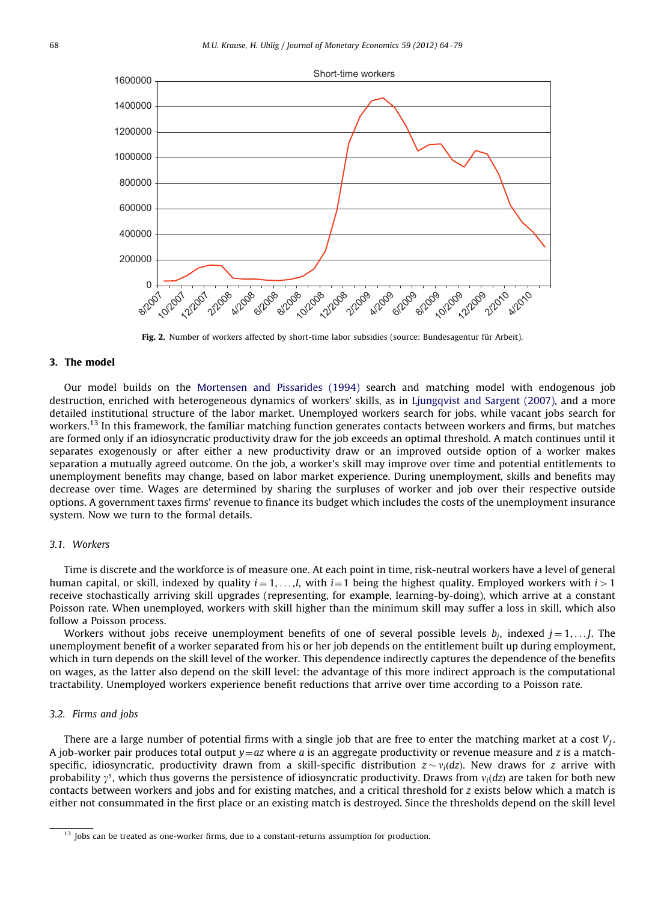<span id="page-4-0"></span>

Fig. 2. Number of workers affected by short-time labor subsidies (source: Bundesagentur für Arbeit).

#### 3. The model

Our model builds on the [Mortensen and Pissarides \(1994\)](#page-15-0) search and matching model with endogenous job destruction, enriched with heterogeneous dynamics of workers' skills, as in [Ljungqvist and Sargent \(2007\)](#page-15-0), and a more detailed institutional structure of the labor market. Unemployed workers search for jobs, while vacant jobs search for workers.<sup>13</sup> In this framework, the familiar matching function generates contacts between workers and firms, but matches are formed only if an idiosyncratic productivity draw for the job exceeds an optimal threshold. A match continues until it separates exogenously or after either a new productivity draw or an improved outside option of a worker makes separation a mutually agreed outcome. On the job, a worker's skill may improve over time and potential entitlements to unemployment benefits may change, based on labor market experience. During unemployment, skills and benefits may decrease over time. Wages are determined by sharing the surpluses of worker and job over their respective outside options. A government taxes firms' revenue to finance its budget which includes the costs of the unemployment insurance system. Now we turn to the formal details.

### 3.1. Workers

Time is discrete and the workforce is of measure one. At each point in time, risk-neutral workers have a level of general human capital, or skill, indexed by quality  $i = 1, \ldots, I$ , with  $i = 1$  being the highest quality. Employed workers with  $i > 1$ receive stochastically arriving skill upgrades (representing, for example, learning-by-doing), which arrive at a constant Poisson rate. When unemployed, workers with skill higher than the minimum skill may suffer a loss in skill, which also follow a Poisson process.

Workers without jobs receive unemployment benefits of one of several possible levels  $b_i$ , indexed  $j = 1, \ldots, I$ . The unemployment benefit of a worker separated from his or her job depends on the entitlement built up during employment, which in turn depends on the skill level of the worker. This dependence indirectly captures the dependence of the benefits on wages, as the latter also depend on the skill level: the advantage of this more indirect approach is the computational tractability. Unemployed workers experience benefit reductions that arrive over time according to a Poisson rate.

#### 3.2. Firms and jobs

There are a large number of potential firms with a single job that are free to enter the matching market at a cost  $V_f$ . A job-worker pair produces total output  $y = az$  where a is an aggregate productivity or revenue measure and z is a matchspecific, idiosyncratic, productivity drawn from a skill-specific distribution  $z \sim v_i(dz)$ . New draws for z arrive with probability  $\gamma^s$ , which thus governs the persistence of idiosyncratic productivity. Draws from  $v_i(dz)$  are taken for both new contacts between workers and jobs and for existing matches, and a critical threshold for z exists below which a match is either not consummated in the first place or an existing match is destroyed. Since the thresholds depend on the skill level

<sup>&</sup>lt;sup>13</sup> Jobs can be treated as one-worker firms, due to a constant-returns assumption for production.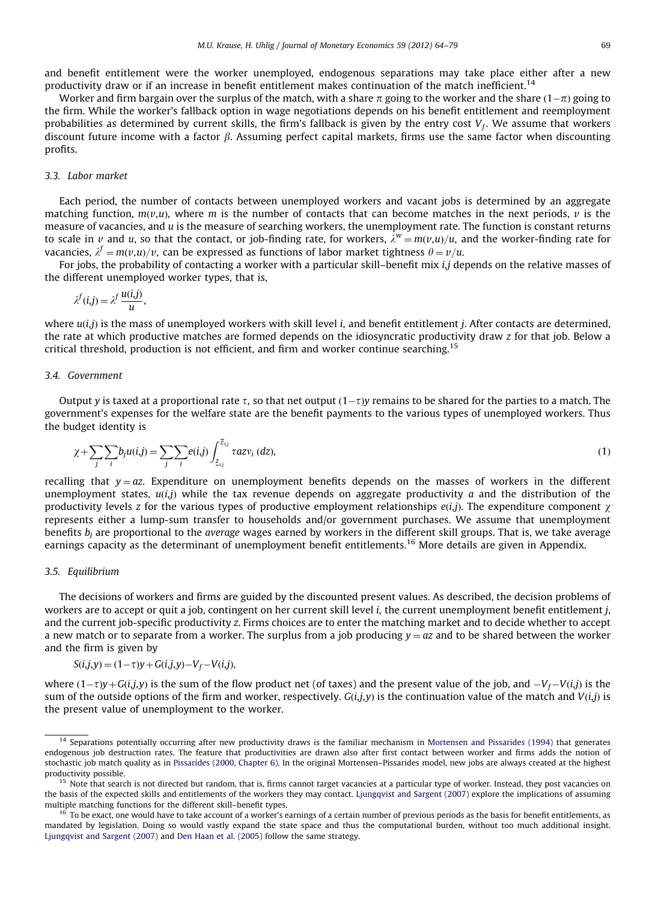and benefit entitlement were the worker unemployed, endogenous separations may take place either after a new productivity draw or if an increase in benefit entitlement makes continuation of the match inefficient.14

Worker and firm bargain over the surplus of the match, with a share  $\pi$  going to the worker and the share  $(1-\pi)$  going to the firm. While the worker's fallback option in wage negotiations depends on his benefit entitlement and reemployment probabilities as determined by current skills, the firm's fallback is given by the entry cost  $V_f$ . We assume that workers discount future income with a factor  $\beta$ . Assuming perfect capital markets, firms use the same factor when discounting profits.

#### 3.3. Labor market

Each period, the number of contacts between unemployed workers and vacant jobs is determined by an aggregate matching function,  $m(v,u)$ , where m is the number of contacts that can become matches in the next periods, v is the measure of vacancies, and u is the measure of searching workers, the unemployment rate. The function is constant returns to scale in v and u, so that the contact, or job-finding rate, for workers,  $\lambda^w = m(v, u)/u$ , and the worker-finding rate for vacancies,  $\lambda^f = m(v,u)/v$ , can be expressed as functions of labor market tightness  $\theta = v/u$ .

For jobs, the probability of contacting a worker with a particular skill–benefit mix *i,j* depends on the relative masses of the different unemployed worker types, that is,

$$
\lambda^f(i,j) = \lambda^f \frac{u(i,j)}{u},
$$

where  $u(i,j)$  is the mass of unemployed workers with skill level i, and benefit entitlement j. After contacts are determined, the rate at which productive matches are formed depends on the idiosyncratic productivity draw z for that job. Below a critical threshold, production is not efficient, and firm and worker continue searching.<sup>15</sup>

### 3.4. Government

Output y is taxed at a proportional rate  $\tau$ , so that net output  $(1-\tau)y$  remains to be shared for the parties to a match. The government's expenses for the welfare state are the benefit payments to the various types of unemployed workers. Thus the budget identity is

$$
\chi + \sum_{j} \sum_{i} b_j u(i,j) = \sum_{j} \sum_{i} e(i,j) \int_{Z_{i,j}}^{\overline{z}_{i,j}} \tau a z v_i \, (dz), \tag{1}
$$

recalling that  $y = az$ . Expenditure on unemployment benefits depends on the masses of workers in the different unemployment states,  $u(i,j)$  while the tax revenue depends on aggregate productivity a and the distribution of the productivity levels z for the various types of productive employment relationships  $e(i,j)$ . The expenditure component  $\chi$ represents either a lump-sum transfer to households and/or government purchases. We assume that unemployment benefits  $b_i$  are proportional to the *average* wages earned by workers in the different skill groups. That is, we take average earnings capacity as the determinant of unemployment benefit entitlements.<sup>16</sup> More details are given in Appendix.

#### 3.5. Equilibrium

The decisions of workers and firms are guided by the discounted present values. As described, the decision problems of workers are to accept or quit a job, contingent on her current skill level *i*, the current unemployment benefit entitlement *j*, and the current job-specific productivity z. Firms choices are to enter the matching market and to decide whether to accept a new match or to separate from a worker. The surplus from a job producing  $y = az$  and to be shared between the worker and the firm is given by

$$
S(i,j,y) = (1-\tau)y + G(i,j,y) - V_f - V(i,j),
$$

where  $(1-\tau)y+G(i,j,y)$  is the sum of the flow product net (of taxes) and the present value of the job, and  $-V_f-V(i,j)$  is the sum of the outside options of the firm and worker, respectively.  $G(i,j,y)$  is the continuation value of the match and  $V(i,j)$  is the present value of unemployment to the worker.

<sup>&</sup>lt;sup>14</sup> Separations potentially occurring after new productivity draws is the familiar mechanism in [Mortensen and Pissarides \(1994\)](#page-15-0) that generates endogenous job destruction rates. The feature that productivities are drawn also after first contact between worker and firms adds the notion of stochastic job match quality as in [Pissarides \(2000, Chapter 6\).](#page-15-0) In the original Mortensen–Pissarides model, new jobs are always created at the highest productivity possible.

<sup>&</sup>lt;sup>15</sup> Note that search is not directed but random, that is, firms cannot target vacancies at a particular type of worker. Instead, they post vacancies on the basis of the expected skills and entitlements of the workers they may contact. [Ljungqvist and Sargent \(2007\)](#page-15-0) explore the implications of assuming multiple matching functions for the different skill–benefit types.

<sup>&</sup>lt;sup>16</sup> To be exact, one would have to take account of a worker's earnings of a certain number of previous periods as the basis for benefit entitlements, as mandated by legislation. Doing so would vastly expand the state space and thus the computational burden, without too much additional insight. [Ljungqvist and Sargent \(2007\)](#page-15-0) and [Den Haan et al. \(2005\)](#page-15-0) follow the same strategy.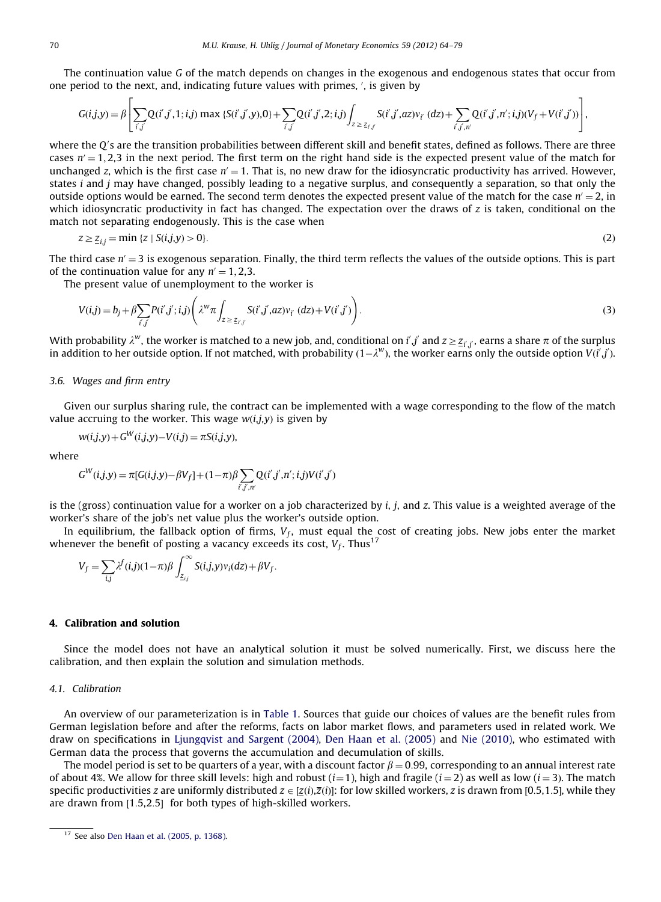<span id="page-6-0"></span>The continuation value G of the match depends on changes in the exogenous and endogenous states that occur from one period to the next, and, indicating future values with primes, ', is given by

$$
G(i,j,y) = \beta \left[ \sum_{i',j'} Q(i',j',1;i,j) \max \{ S(i',j',y),0\} + \sum_{i',j'} Q(i',j',2;i,j) \int_{z \geq \frac{Z}{2} \setminus j'} S(i',j',az) v_{i'} \ (dz) + \sum_{i',j',n'} Q(i',j',n';i,j) (V_f + V(i',j')) \right],
$$

where the  $Q'$ s are the transition probabilities between different skill and benefit states, defined as follows. There are three cases  $n' = 1, 2, 3$  in the next period. The first term on the right hand side is the expected present value of the match for unchanged z, which is the first case  $n' = 1$ . That is, no new draw for the idiosyncratic productivity has arrived. However, states *i* and *j* may have changed, possibly leading to a negative surplus, and consequently a separation, so that only the outside options would be earned. The second term denotes the expected present value of the match for the case  $n' = 2$ , in which idiosyncratic productivity in fact has changed. The expectation over the draws of  $z$  is taken, conditional on the match not separating endogenously. This is the case when

$$
z \ge \underline{z}_{i,j} = \min \{ z \mid S(i,j,y) > 0 \}. \tag{2}
$$

The third case  $n' = 3$  is exogenous separation. Finally, the third term reflects the values of the outside options. This is part of the continuation value for any  $n' = 1, 2, 3$ .

The present value of unemployment to the worker is

$$
V(i,j) = b_j + \beta \sum_{i',j'} P(i',j';i,j) \left( \lambda^w \pi \int_{z \geq \underline{z}_{i',j'}} S(i',j',az) v_{i'}(dz) + V(i',j') \right). \tag{3}
$$

With probability  $\lambda^w$ , the worker is matched to a new job, and, conditional on  $i'$  , and  $z\ge z_{i'j'}$ , earns a share  $\pi$  of the surplus in addition to her outside option. If not matched, with probability (1– $\lambda^w$ ), the worker earns only the outside option V( $i'j'$ ).

#### 3.6. Wages and firm entry

Given our surplus sharing rule, the contract can be implemented with a wage corresponding to the flow of the match value accruing to the worker. This wage  $w(i, j, y)$  is given by

$$
w(i,j,y) + G^{W}(i,j,y) - V(i,j) = \pi S(i,j,y),
$$

where

$$
G^{W}(i,j,y) = \pi [G(i,j,y) - \beta V_f] + (1-\pi)\beta \sum_{i',j',n'} Q(i',j',n';i,j)V(i',j')
$$

is the (gross) continuation value for a worker on a job characterized by  $i$ ,  $j$ , and  $z$ . This value is a weighted average of the worker's share of the job's net value plus the worker's outside option.

In equilibrium, the fallback option of firms,  $V_f$ , must equal the cost of creating jobs. New jobs enter the market whenever the benefit of posting a vacancy exceeds its cost,  $V_f$ . Thus<sup>17</sup>

$$
V_f = \sum_{i,j} \lambda^f(i,j)(1-\pi)\beta \int_{z_{ij}}^{\infty} S(i,j,y) v_i(dz) + \beta V_f.
$$

#### 4. Calibration and solution

Since the model does not have an analytical solution it must be solved numerically. First, we discuss here the calibration, and then explain the solution and simulation methods.

#### 4.1. Calibration

An overview of our parameterization is in [Table 1](#page-7-0). Sources that guide our choices of values are the benefit rules from German legislation before and after the reforms, facts on labor market flows, and parameters used in related work. We draw on specifications in [Ljungqvist and Sargent \(2004\),](#page-15-0) [Den Haan et al. \(2005\)](#page-15-0) and [Nie \(2010\)](#page-15-0), who estimated with German data the process that governs the accumulation and decumulation of skills.

The model period is set to be quarters of a year, with a discount factor  $\beta = 0.99$ , corresponding to an annual interest rate of about 4%. We allow for three skill levels: high and robust  $(i=1)$ , high and fragile  $(i = 2)$  as well as low  $(i = 3)$ . The match specific productivities z are uniformly distributed  $z \in [z(i),\overline{z}(i)]$ : for low skilled workers, z is drawn from [0.5,1.5], while they are drawn from  $[1.5,2.5]$  for both types of high-skilled workers.

<sup>17</sup> See also [Den Haan et al. \(2005, p. 1368\).](#page-15-0)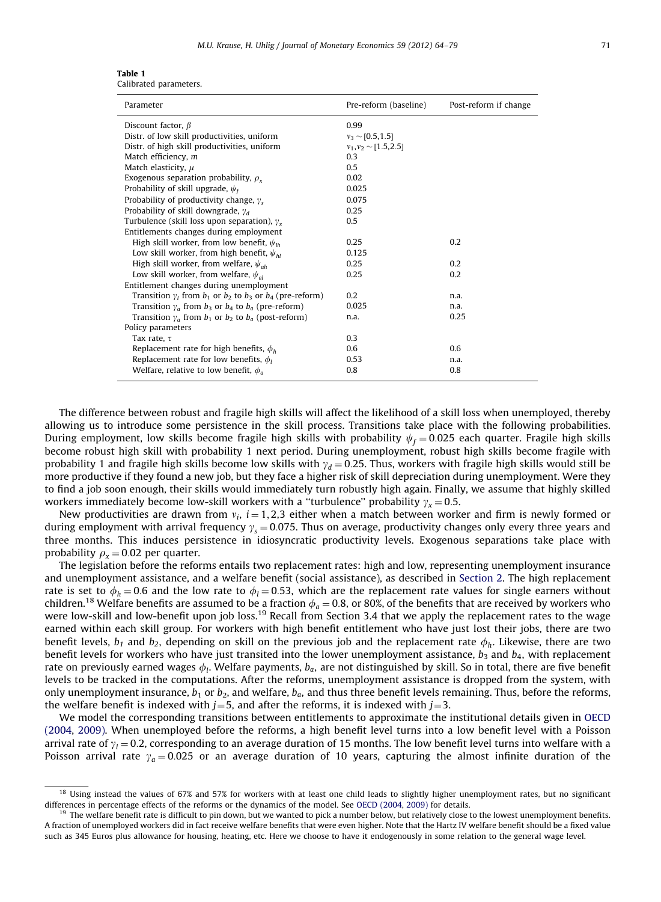<span id="page-7-0"></span>

| н<br>г |  |
|--------|--|
|--------|--|

Calibrated parameters.

| Parameter                                                                | Pre-reform (baseline)      | Post-reform if change |  |
|--------------------------------------------------------------------------|----------------------------|-----------------------|--|
| Discount factor, $\beta$                                                 | 0.99                       |                       |  |
| Distr. of low skill productivities, uniform                              | $v_3 \sim [0.5, 1.5]$      |                       |  |
| Distr. of high skill productivities, uniform                             | $v_1, v_2 \sim [1.5, 2.5]$ |                       |  |
| Match efficiency, m                                                      | 0.3                        |                       |  |
| Match elasticity, $\mu$                                                  | 0.5                        |                       |  |
| Exogenous separation probability, $\rho_{x}$                             | 0.02                       |                       |  |
| Probability of skill upgrade, $\psi_f$                                   | 0.025                      |                       |  |
| Probability of productivity change, $\gamma_s$                           | 0.075                      |                       |  |
| Probability of skill downgrade, $\gamma_d$                               | 0.25                       |                       |  |
| Turbulence (skill loss upon separation), $\gamma_{x}$                    | 0.5                        |                       |  |
| Entitlements changes during employment                                   |                            |                       |  |
| High skill worker, from low benefit, $\psi_{1h}$                         | 0.25                       | 0.2                   |  |
| Low skill worker, from high benefit, $\psi_{hl}$                         | 0.125                      |                       |  |
| High skill worker, from welfare, $\psi_{ab}$                             | 0.25                       | 0.2                   |  |
| Low skill worker, from welfare, $\psi_{al}$                              | 0.25                       | 0.2                   |  |
| Entitlement changes during unemployment                                  |                            |                       |  |
| Transition $\gamma_1$ from $b_1$ or $b_2$ to $b_3$ or $b_4$ (pre-reform) | 0.2                        | n.a.                  |  |
| Transition $\gamma_a$ from $b_3$ or $b_4$ to $b_a$ (pre-reform)          | 0.025                      | n.a.                  |  |
| Transition $\gamma_a$ from $b_1$ or $b_2$ to $b_a$ (post-reform)         | n.a.                       | 0.25                  |  |
| Policy parameters                                                        |                            |                       |  |
| Tax rate, $\tau$                                                         | 0.3                        |                       |  |
| Replacement rate for high benefits, $\phi_h$                             | 0.6                        | 0.6                   |  |
| Replacement rate for low benefits, $\phi_l$                              | 0.53                       | n.a.                  |  |
| Welfare, relative to low benefit, $\phi_a$                               | 0.8                        | 0.8                   |  |

The difference between robust and fragile high skills will affect the likelihood of a skill loss when unemployed, thereby allowing us to introduce some persistence in the skill process. Transitions take place with the following probabilities. During employment, low skills become fragile high skills with probability  $\psi_f = 0.025$  each quarter. Fragile high skills become robust high skill with probability 1 next period. During unemployment, robust high skills become fragile with probability 1 and fragile high skills become low skills with  $\gamma_d = 0.25$ . Thus, workers with fragile high skills would still be more productive if they found a new job, but they face a higher risk of skill depreciation during unemployment. Were they to find a job soon enough, their skills would immediately turn robustly high again. Finally, we assume that highly skilled workers immediately become low-skill workers with a "turbulence" probability  $\gamma_x = 0.5$ .

New productivities are drawn from  $v_i$ ,  $i = 1, 2, 3$  either when a match between worker and firm is newly formed or during employment with arrival frequency  $\gamma_s = 0.075$ . Thus on average, productivity changes only every three years and three months. This induces persistence in idiosyncratic productivity levels. Exogenous separations take place with probability  $\rho_r = 0.02$  per quarter.

The legislation before the reforms entails two replacement rates: high and low, representing unemployment insurance and unemployment assistance, and a welfare benefit (social assistance), as described in [Section 2.](#page-2-0) The high replacement rate is set to  $\phi_h = 0.6$  and the low rate to  $\phi_l = 0.53$ , which are the replacement rate values for single earners without children.<sup>18</sup> Welfare benefits are assumed to be a fraction  $\phi_a = 0.8$ , or 80%, of the benefits that are received by workers who were low-skill and low-benefit upon job loss.<sup>19</sup> Recall from Section 3.4 that we apply the replacement rates to the wage earned within each skill group. For workers with high benefit entitlement who have just lost their jobs, there are two benefit levels,  $b_1$  and  $b_2$ , depending on skill on the previous job and the replacement rate  $\phi_h$ . Likewise, there are two benefit levels for workers who have just transited into the lower unemployment assistance,  $b_3$  and  $b_4$ , with replacement rate on previously earned wages  $\phi_l$ . Welfare payments,  $b_a$ , are not distinguished by skill. So in total, there are five benefit levels to be tracked in the computations. After the reforms, unemployment assistance is dropped from the system, with only unemployment insurance,  $b_1$  or  $b_2$ , and welfare,  $b_a$ , and thus three benefit levels remaining. Thus, before the reforms, the welfare benefit is indexed with  $j=5$ , and after the reforms, it is indexed with  $j=3$ .

We model the corresponding transitions between entitlements to approximate the institutional details given in [OECD](#page-15-0) [\(2004](#page-15-0), [2009\)](#page-15-0). When unemployed before the reforms, a high benefit level turns into a low benefit level with a Poisson arrival rate of  $\gamma_1$  = 0.2, corresponding to an average duration of 15 months. The low benefit level turns into welfare with a Poisson arrival rate  $\gamma_a = 0.025$  or an average duration of 10 years, capturing the almost infinite duration of the

<sup>&</sup>lt;sup>18</sup> Using instead the values of 67% and 57% for workers with at least one child leads to slightly higher unemployment rates, but no significant differences in percentage effects of the reforms or the dynamics of the model. See [OECD \(2004](#page-15-0), [2009\)](#page-15-0) for details.

<sup>&</sup>lt;sup>19</sup> The welfare benefit rate is difficult to pin down, but we wanted to pick a number below, but relatively close to the lowest unemployment benefits. A fraction of unemployed workers did in fact receive welfare benefits that were even higher. Note that the Hartz IV welfare benefit should be a fixed value such as 345 Euros plus allowance for housing, heating, etc. Here we choose to have it endogenously in some relation to the general wage level.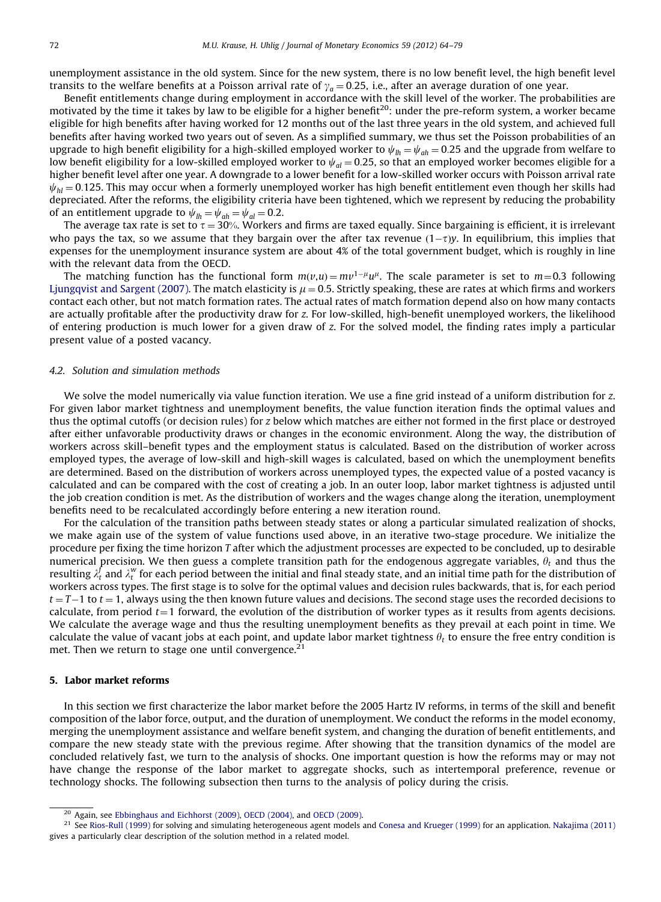<span id="page-8-0"></span>unemployment assistance in the old system. Since for the new system, there is no low benefit level, the high benefit level transits to the welfare benefits at a Poisson arrival rate of  $\gamma_a = 0.25$ , i.e., after an average duration of one year.

Benefit entitlements change during employment in accordance with the skill level of the worker. The probabilities are motivated by the time it takes by law to be eligible for a higher benefit<sup>20</sup>: under the pre-reform system, a worker became eligible for high benefits after having worked for 12 months out of the last three years in the old system, and achieved full benefits after having worked two years out of seven. As a simplified summary, we thus set the Poisson probabilities of an upgrade to high benefit eligibility for a high-skilled employed worker to  $\psi_{lh} = \psi_{ah} = 0.25$  and the upgrade from welfare to low benefit eligibility for a low-skilled employed worker to  $\psi_{al} = 0.25$ , so that an employed worker becomes eligible for a higher benefit level after one year. A downgrade to a lower benefit for a low-skilled worker occurs with Poisson arrival rate  $\psi_{bl}$  = 0.125. This may occur when a formerly unemployed worker has high benefit entitlement even though her skills had depreciated. After the reforms, the eligibility criteria have been tightened, which we represent by reducing the probability of an entitlement upgrade to  $\psi_{lh} = \psi_{ah} = \psi_{al} = 0.2$ .

The average tax rate is set to  $\tau = 30$ %. Workers and firms are taxed equally. Since bargaining is efficient, it is irrelevant who pays the tax, so we assume that they bargain over the after tax revenue  $(1-\tau)y$ . In equilibrium, this implies that expenses for the unemployment insurance system are about 4% of the total government budget, which is roughly in line with the relevant data from the OECD.

The matching function has the functional form  $m(v,u) = mv^{1-\mu}u^{\mu}$ . The scale parameter is set to  $m=0.3$  following Liungqvist and Sargent (2007). The match elasticity is  $u = 0.5$ . Strictly speaking, these are rates at which firms and workers contact each other, but not match formation rates. The actual rates of match formation depend also on how many contacts are actually profitable after the productivity draw for z. For low-skilled, high-benefit unemployed workers, the likelihood of entering production is much lower for a given draw of z. For the solved model, the finding rates imply a particular present value of a posted vacancy.

#### 4.2. Solution and simulation methods

We solve the model numerically via value function iteration. We use a fine grid instead of a uniform distribution for z. For given labor market tightness and unemployment benefits, the value function iteration finds the optimal values and thus the optimal cutoffs (or decision rules) for z below which matches are either not formed in the first place or destroyed after either unfavorable productivity draws or changes in the economic environment. Along the way, the distribution of workers across skill–benefit types and the employment status is calculated. Based on the distribution of worker across employed types, the average of low-skill and high-skill wages is calculated, based on which the unemployment benefits are determined. Based on the distribution of workers across unemployed types, the expected value of a posted vacancy is calculated and can be compared with the cost of creating a job. In an outer loop, labor market tightness is adjusted until the job creation condition is met. As the distribution of workers and the wages change along the iteration, unemployment benefits need to be recalculated accordingly before entering a new iteration round.

For the calculation of the transition paths between steady states or along a particular simulated realization of shocks, we make again use of the system of value functions used above, in an iterative two-stage procedure. We initialize the procedure per fixing the time horizon T after which the adjustment processes are expected to be concluded, up to desirable numerical precision. We then guess a complete transition path for the endogenous aggregate variables,  $\theta_t$  and thus the resulting  $\lambda_t^f$  and  $\lambda_t^w$  for each period between the initial and final steady state, and an initial time path for the distribution of workers across types. The first stage is to solve for the optimal values and decision rules backwards, that is, for each period  $t = T-1$  to  $t = 1$ , always using the then known future values and decisions. The second stage uses the recorded decisions to calculate, from period  $t=1$  forward, the evolution of the distribution of worker types as it results from agents decisions. We calculate the average wage and thus the resulting unemployment benefits as they prevail at each point in time. We calculate the value of vacant jobs at each point, and update labor market tightness  $\theta_t$  to ensure the free entry condition is met. Then we return to stage one until convergence. $21$ 

#### 5. Labor market reforms

In this section we first characterize the labor market before the 2005 Hartz IV reforms, in terms of the skill and benefit composition of the labor force, output, and the duration of unemployment. We conduct the reforms in the model economy, merging the unemployment assistance and welfare benefit system, and changing the duration of benefit entitlements, and compare the new steady state with the previous regime. After showing that the transition dynamics of the model are concluded relatively fast, we turn to the analysis of shocks. One important question is how the reforms may or may not have change the response of the labor market to aggregate shocks, such as intertemporal preference, revenue or technology shocks. The following subsection then turns to the analysis of policy during the crisis.

<sup>&</sup>lt;sup>20</sup> Again, see [Ebbinghaus and Eichhorst \(2009\)](#page-15-0), [OECD \(2004\),](#page-15-0) and [OECD \(2009\).](#page-15-0)

 $21$  See [Rios-Rull \(1999\)](#page-15-0) for solving and simulating heterogeneous agent models and [Conesa and Krueger \(1999\)](#page-15-0) for an application. [Nakajima \(2011\)](#page-15-0) gives a particularly clear description of the solution method in a related model.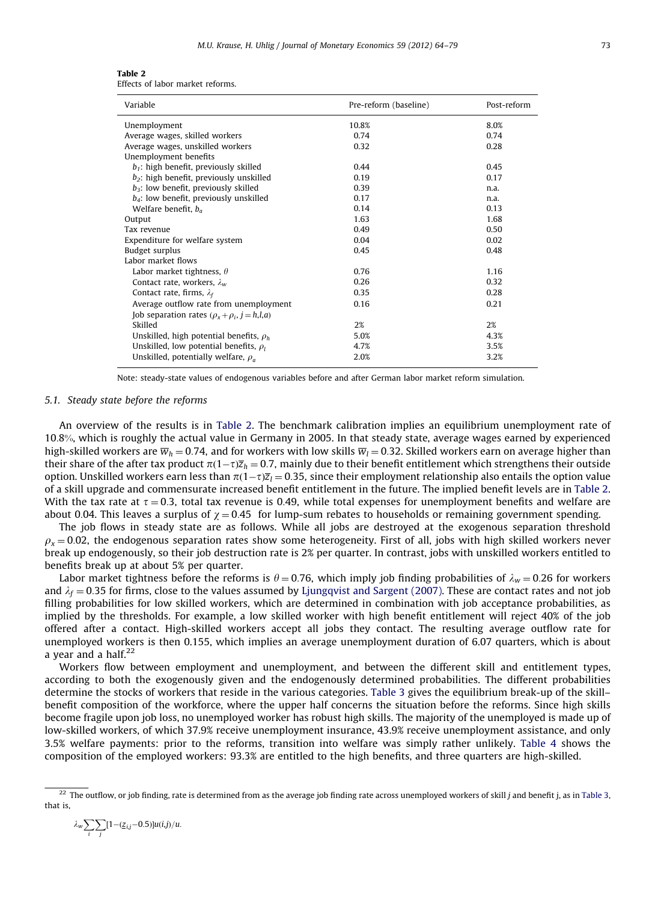#### <span id="page-9-0"></span>Table 2

|  |  |  |  | Effects of labor market reforms. |
|--|--|--|--|----------------------------------|
|--|--|--|--|----------------------------------|

| Variable                                              | Pre-reform (baseline) | Post-reform |
|-------------------------------------------------------|-----------------------|-------------|
| Unemployment                                          | 10.8%                 | 8.0%        |
| Average wages, skilled workers                        | 0.74                  | 0.74        |
| Average wages, unskilled workers                      | 0.32                  | 0.28        |
| Unemployment benefits                                 |                       |             |
| $b_1$ : high benefit, previously skilled              | 0.44                  | 0.45        |
| $b_2$ : high benefit, previously unskilled            | 0.19                  | 0.17        |
| $b_3$ : low benefit, previously skilled               | 0.39                  | n.a.        |
| $b_4$ : low benefit, previously unskilled             | 0.17                  | n.a.        |
| Welfare benefit, $b_a$                                | 0.14                  | 0.13        |
| Output                                                | 1.63                  | 1.68        |
| Tax revenue                                           | 0.49                  | 0.50        |
| Expenditure for welfare system                        | 0.04                  | 0.02        |
| Budget surplus                                        | 0.45                  | 0.48        |
| Labor market flows                                    |                       |             |
| Labor market tightness, $\theta$                      | 0.76                  | 1.16        |
| Contact rate, workers, $\lambda_w$                    | 0.26                  | 0.32        |
| Contact rate, firms, $\lambda_f$                      | 0.35                  | 0.28        |
| Average outflow rate from unemployment                | 0.16                  | 0.21        |
| Job separation rates $(\rho_x + \rho_i, j = h, l, a)$ |                       |             |
| Skilled                                               | 2%                    | 2%          |
| Unskilled, high potential benefits, $\rho_h$          | 5.0%                  | 4.3%        |
| Unskilled, low potential benefits, $\rho_1$           | 4.7%                  | 3.5%        |
| Unskilled, potentially welfare, $\rho_a$              | 2.0%                  | 3.2%        |

Note: steady-state values of endogenous variables before and after German labor market reform simulation.

#### 5.1. Steady state before the reforms

An overview of the results is in Table 2. The benchmark calibration implies an equilibrium unemployment rate of 10:8%, which is roughly the actual value in Germany in 2005. In that steady state, average wages earned by experienced high-skilled workers are  $\overline{w}_h = 0.74$ , and for workers with low skills  $\overline{w}_l = 0.32$ . Skilled workers earn on average higher than their share of the after tax product  $\pi(1-\tau)\overline{z}_h = 0.7$ , mainly due to their benefit entitlement which strengthens their outside option. Unskilled workers earn less than  $\pi(1-\tau)\overline{z}_l = 0.35$ , since their employment relationship also entails the option value of a skill upgrade and commensurate increased benefit entitlement in the future. The implied benefit levels are in Table 2. With the tax rate at  $\tau = 0.3$ , total tax revenue is 0.49, while total expenses for unemployment benefits and welfare are about 0.04. This leaves a surplus of  $\gamma = 0.45$  for lump-sum rebates to households or remaining government spending.

The job flows in steady state are as follows. While all jobs are destroyed at the exogenous separation threshold  $\rho_r = 0.02$ , the endogenous separation rates show some heterogeneity. First of all, jobs with high skilled workers never break up endogenously, so their job destruction rate is 2% per quarter. In contrast, jobs with unskilled workers entitled to benefits break up at about 5% per quarter.

Labor market tightness before the reforms is  $\theta = 0.76$ , which imply job finding probabilities of  $\lambda_w = 0.26$  for workers and  $\lambda_f = 0.35$  for firms, close to the values assumed by [Ljungqvist and Sargent \(2007\)](#page-15-0). These are contact rates and not job filling probabilities for low skilled workers, which are determined in combination with job acceptance probabilities, as implied by the thresholds. For example, a low skilled worker with high benefit entitlement will reject 40% of the job offered after a contact. High-skilled workers accept all jobs they contact. The resulting average outflow rate for unemployed workers is then 0.155, which implies an average unemployment duration of 6.07 quarters, which is about a year and a half.<sup>22</sup>

Workers flow between employment and unemployment, and between the different skill and entitlement types, according to both the exogenously given and the endogenously determined probabilities. The different probabilities determine the stocks of workers that reside in the various categories. [Table 3](#page-10-0) gives the equilibrium break-up of the skill– benefit composition of the workforce, where the upper half concerns the situation before the reforms. Since high skills become fragile upon job loss, no unemployed worker has robust high skills. The majority of the unemployed is made up of low-skilled workers, of which 37.9% receive unemployment insurance, 43.9% receive unemployment assistance, and only 3.5% welfare payments: prior to the reforms, transition into welfare was simply rather unlikely. [Table 4](#page-10-0) shows the composition of the employed workers: 93.3% are entitled to the high benefits, and three quarters are high-skilled.

$$
\lambda_{w} \sum_{i} \sum_{j} [1 - (\underline{z}_{ij} - 0.5)] u(i,j) / u.
$$

 $^{22}$  The outflow, or job finding, rate is determined from as the average job finding rate across unemployed workers of skill j and benefit j, as in [Table 3,](#page-10-0) that is,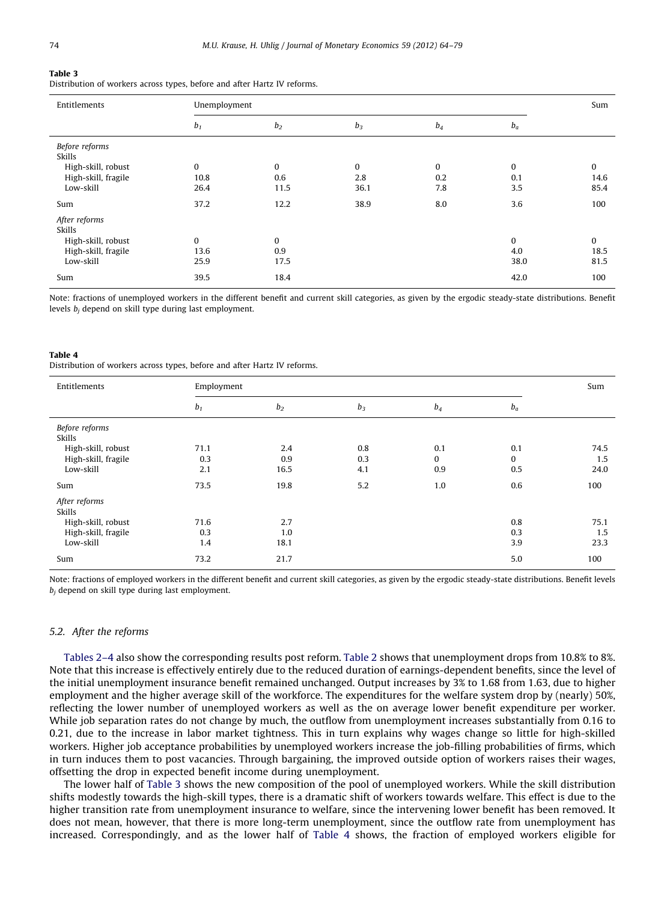#### <span id="page-10-0"></span>Table 3

Distribution of workers across types, before and after Hartz IV reforms.

| Entitlements                                                                       | Unemployment                 |                         |                  |                        |                             | Sum                          |
|------------------------------------------------------------------------------------|------------------------------|-------------------------|------------------|------------------------|-----------------------------|------------------------------|
|                                                                                    | b <sub>1</sub>               | b <sub>2</sub>          | $b_3$            | $b_4$                  | $b_a$                       |                              |
| Before reforms<br>Skills<br>High-skill, robust<br>High-skill, fragile<br>Low-skill | $\mathbf{0}$<br>10.8<br>26.4 | $\bf{0}$<br>0.6<br>11.5 | 0<br>2.8<br>36.1 | $\bf{0}$<br>0.2<br>7.8 | $\bf{0}$<br>0.1<br>3.5      | $\mathbf{0}$<br>14.6<br>85.4 |
| Sum                                                                                | 37.2                         | 12.2                    | 38.9             | 8.0                    | 3.6                         | 100                          |
| After reforms<br>Skills<br>High-skill, robust<br>High-skill, fragile<br>Low-skill  | $\mathbf{0}$<br>13.6<br>25.9 | $\bf{0}$<br>0.9<br>17.5 |                  |                        | $\mathbf{0}$<br>4.0<br>38.0 | $\mathbf{0}$<br>18.5<br>81.5 |
| Sum                                                                                | 39.5                         | 18.4                    |                  |                        | 42.0                        | 100                          |

Note: fractions of unemployed workers in the different benefit and current skill categories, as given by the ergodic steady-state distributions. Benefit levels  $b_i$  depend on skill type during last employment.

#### Table 4

Distribution of workers across types, before and after Hartz IV reforms.

| Entitlements             | Employment |                |       |              |              | Sum  |
|--------------------------|------------|----------------|-------|--------------|--------------|------|
|                          | $b_1$      | b <sub>2</sub> | $b_3$ | $b_4$        | $b_a$        |      |
| Before reforms<br>Skills |            |                |       |              |              |      |
| High-skill, robust       | 71.1       | 2.4            | 0.8   | 0.1          | 0.1          | 74.5 |
| High-skill, fragile      | 0.3        | 0.9            | 0.3   | $\mathbf{0}$ | $\mathbf{0}$ | 1.5  |
| Low-skill                | 2.1        | 16.5           | 4.1   | 0.9          | 0.5          | 24.0 |
| Sum                      | 73.5       | 19.8           | 5.2   | 1.0          | 0.6          | 100  |
| After reforms<br>Skills  |            |                |       |              |              |      |
| High-skill, robust       | 71.6       | 2.7            |       |              | 0.8          | 75.1 |
| High-skill, fragile      | 0.3        | 1.0            |       |              | 0.3          | 1.5  |
| Low-skill                | 1.4        | 18.1           |       |              | 3.9          | 23.3 |
| Sum                      | 73.2       | 21.7           |       |              | 5.0          | 100  |

Note: fractions of employed workers in the different benefit and current skill categories, as given by the ergodic steady-state distributions. Benefit levels  $b_j$  depend on skill type during last employment.

#### 5.2. After the reforms

[Tables 2–4](#page-9-0) also show the corresponding results post reform. [Table 2](#page-9-0) shows that unemployment drops from 10.8% to 8%. Note that this increase is effectively entirely due to the reduced duration of earnings-dependent benefits, since the level of the initial unemployment insurance benefit remained unchanged. Output increases by 3% to 1.68 from 1.63, due to higher employment and the higher average skill of the workforce. The expenditures for the welfare system drop by (nearly) 50%, reflecting the lower number of unemployed workers as well as the on average lower benefit expenditure per worker. While job separation rates do not change by much, the outflow from unemployment increases substantially from 0.16 to 0.21, due to the increase in labor market tightness. This in turn explains why wages change so little for high-skilled workers. Higher job acceptance probabilities by unemployed workers increase the job-filling probabilities of firms, which in turn induces them to post vacancies. Through bargaining, the improved outside option of workers raises their wages, offsetting the drop in expected benefit income during unemployment.

The lower half of Table 3 shows the new composition of the pool of unemployed workers. While the skill distribution shifts modestly towards the high-skill types, there is a dramatic shift of workers towards welfare. This effect is due to the higher transition rate from unemployment insurance to welfare, since the intervening lower benefit has been removed. It does not mean, however, that there is more long-term unemployment, since the outflow rate from unemployment has increased. Correspondingly, and as the lower half of Table 4 shows, the fraction of employed workers eligible for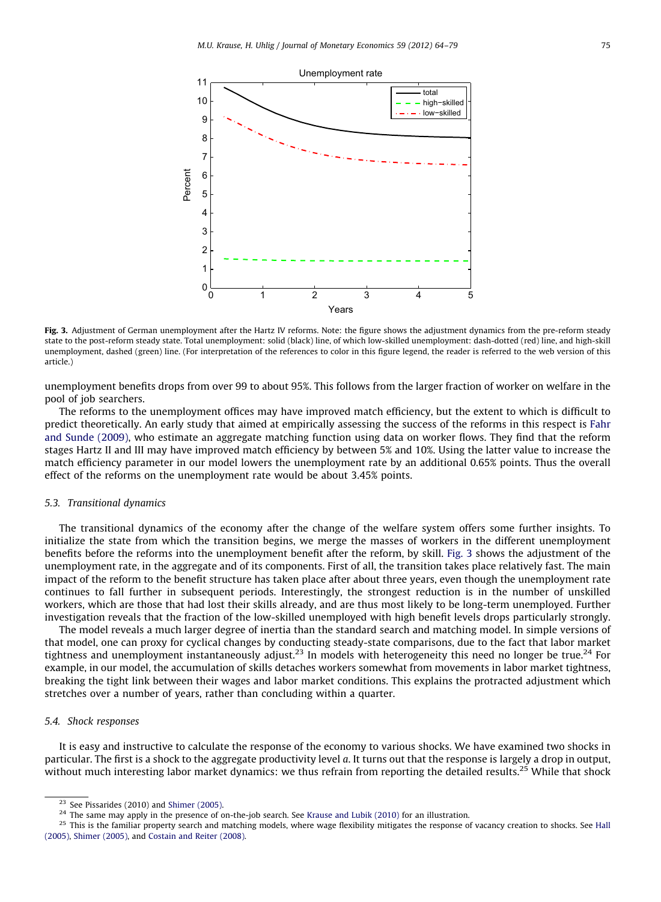

Fig. 3. Adjustment of German unemployment after the Hartz IV reforms. Note: the figure shows the adjustment dynamics from the pre-reform steady state to the post-reform steady state. Total unemployment: solid (black) line, of which low-skilled unemployment: dash-dotted (red) line, and high-skill unemployment, dashed (green) line. (For interpretation of the references to color in this figure legend, the reader is referred to the web version of this article.)

unemployment benefits drops from over 99 to about 95%. This follows from the larger fraction of worker on welfare in the pool of job searchers.

The reforms to the unemployment offices may have improved match efficiency, but the extent to which is difficult to predict theoretically. An early study that aimed at empirically assessing the success of the reforms in this respect is [Fahr](#page-15-0) [and Sunde \(2009\),](#page-15-0) who estimate an aggregate matching function using data on worker flows. They find that the reform stages Hartz II and III may have improved match efficiency by between 5% and 10%. Using the latter value to increase the match efficiency parameter in our model lowers the unemployment rate by an additional 0.65% points. Thus the overall effect of the reforms on the unemployment rate would be about 3.45% points.

#### 5.3. Transitional dynamics

The transitional dynamics of the economy after the change of the welfare system offers some further insights. To initialize the state from which the transition begins, we merge the masses of workers in the different unemployment benefits before the reforms into the unemployment benefit after the reform, by skill. Fig. 3 shows the adjustment of the unemployment rate, in the aggregate and of its components. First of all, the transition takes place relatively fast. The main impact of the reform to the benefit structure has taken place after about three years, even though the unemployment rate continues to fall further in subsequent periods. Interestingly, the strongest reduction is in the number of unskilled workers, which are those that had lost their skills already, and are thus most likely to be long-term unemployed. Further investigation reveals that the fraction of the low-skilled unemployed with high benefit levels drops particularly strongly.

The model reveals a much larger degree of inertia than the standard search and matching model. In simple versions of that model, one can proxy for cyclical changes by conducting steady-state comparisons, due to the fact that labor market tightness and unemployment instantaneously adjust.<sup>23</sup> In models with heterogeneity this need no longer be true.<sup>24</sup> For example, in our model, the accumulation of skills detaches workers somewhat from movements in labor market tightness, breaking the tight link between their wages and labor market conditions. This explains the protracted adjustment which stretches over a number of years, rather than concluding within a quarter.

#### 5.4. Shock responses

It is easy and instructive to calculate the response of the economy to various shocks. We have examined two shocks in particular. The first is a shock to the aggregate productivity level a. It turns out that the response is largely a drop in output, without much interesting labor market dynamics: we thus refrain from reporting the detailed results.<sup>25</sup> While that shock

 $23$  See Pissarides (2010) and [Shimer \(2005\).](#page-15-0)

 $24$  The same may apply in the presence of on-the-job search. See [Krause and Lubik \(2010\)](#page-15-0) for an illustration.

<sup>&</sup>lt;sup>25</sup> This is the familiar property search and matching models, where wage flexibility mitigates the response of vacancy creation to shocks. See [Hall](#page-15-0) [\(2005\)](#page-15-0), [Shimer \(2005\)](#page-15-0), and [Costain and Reiter \(2008\)](#page-15-0).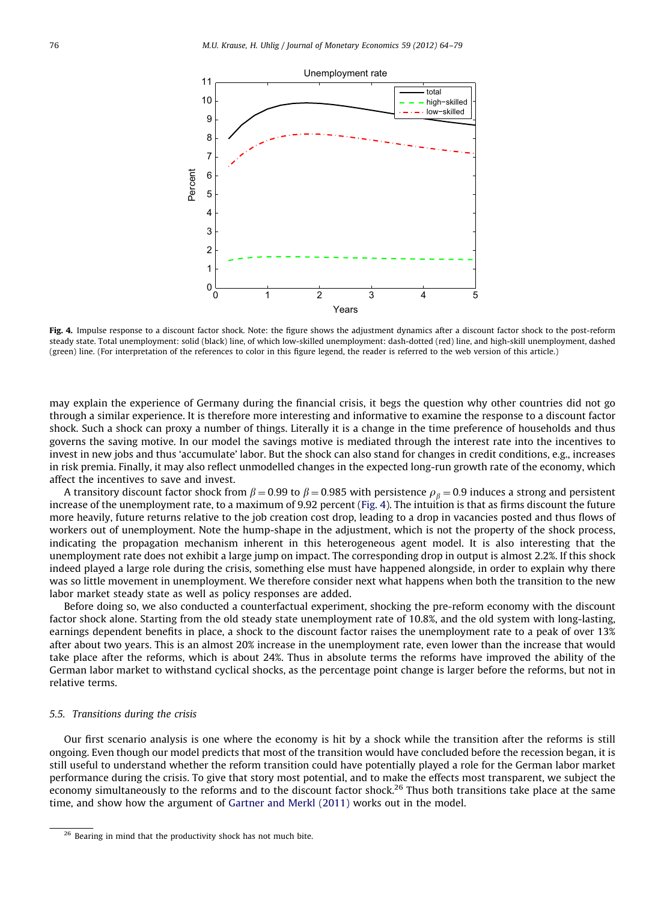

Fig. 4. Impulse response to a discount factor shock. Note: the figure shows the adjustment dynamics after a discount factor shock to the post-reform steady state. Total unemployment: solid (black) line, of which low-skilled unemployment: dash-dotted (red) line, and high-skill unemployment, dashed (green) line. (For interpretation of the references to color in this figure legend, the reader is referred to the web version of this article.)

may explain the experience of Germany during the financial crisis, it begs the question why other countries did not go through a similar experience. It is therefore more interesting and informative to examine the response to a discount factor shock. Such a shock can proxy a number of things. Literally it is a change in the time preference of households and thus governs the saving motive. In our model the savings motive is mediated through the interest rate into the incentives to invest in new jobs and thus 'accumulate' labor. But the shock can also stand for changes in credit conditions, e.g., increases in risk premia. Finally, it may also reflect unmodelled changes in the expected long-run growth rate of the economy, which affect the incentives to save and invest.

A transitory discount factor shock from  $\beta$  = 0.99 to  $\beta$  = 0.985 with persistence  $\rho_\beta$  = 0.9 induces a strong and persistent increase of the unemployment rate, to a maximum of 9.92 percent (Fig. 4). The intuition is that as firms discount the future more heavily, future returns relative to the job creation cost drop, leading to a drop in vacancies posted and thus flows of workers out of unemployment. Note the hump-shape in the adjustment, which is not the property of the shock process, indicating the propagation mechanism inherent in this heterogeneous agent model. It is also interesting that the unemployment rate does not exhibit a large jump on impact. The corresponding drop in output is almost 2.2%. If this shock indeed played a large role during the crisis, something else must have happened alongside, in order to explain why there was so little movement in unemployment. We therefore consider next what happens when both the transition to the new labor market steady state as well as policy responses are added.

Before doing so, we also conducted a counterfactual experiment, shocking the pre-reform economy with the discount factor shock alone. Starting from the old steady state unemployment rate of 10.8%, and the old system with long-lasting, earnings dependent benefits in place, a shock to the discount factor raises the unemployment rate to a peak of over 13% after about two years. This is an almost 20% increase in the unemployment rate, even lower than the increase that would take place after the reforms, which is about 24%. Thus in absolute terms the reforms have improved the ability of the German labor market to withstand cyclical shocks, as the percentage point change is larger before the reforms, but not in relative terms.

#### 5.5. Transitions during the crisis

Our first scenario analysis is one where the economy is hit by a shock while the transition after the reforms is still ongoing. Even though our model predicts that most of the transition would have concluded before the recession began, it is still useful to understand whether the reform transition could have potentially played a role for the German labor market performance during the crisis. To give that story most potential, and to make the effects most transparent, we subject the economy simultaneously to the reforms and to the discount factor shock.<sup>26</sup> Thus both transitions take place at the same time, and show how the argument of [Gartner and Merkl \(2011\)](#page-15-0) works out in the model.

<sup>&</sup>lt;sup>26</sup> Bearing in mind that the productivity shock has not much bite.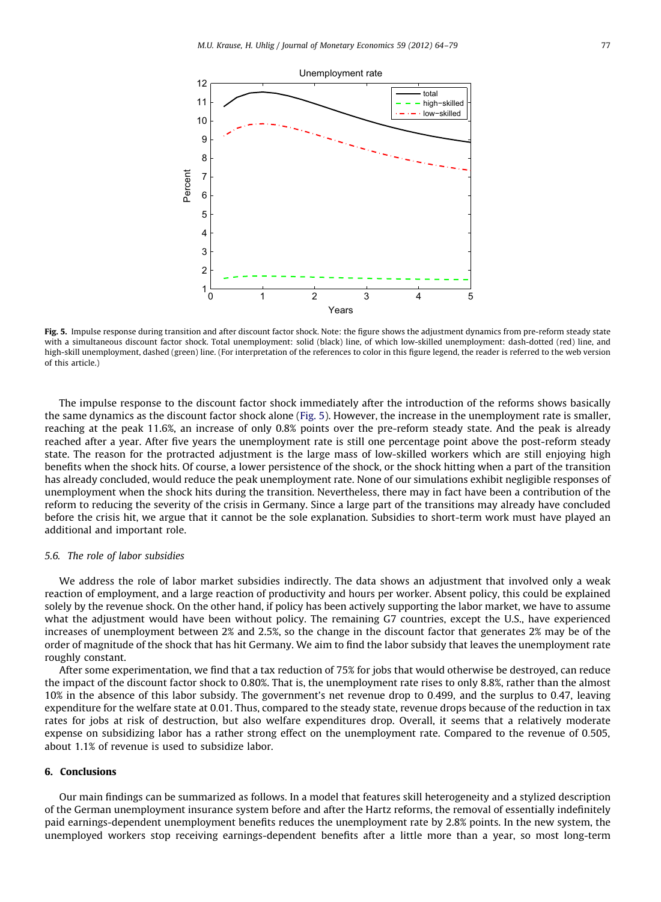<span id="page-13-0"></span>

Fig. 5. Impulse response during transition and after discount factor shock. Note: the figure shows the adjustment dynamics from pre-reform steady state with a simultaneous discount factor shock. Total unemployment: solid (black) line, of which low-skilled unemployment: dash-dotted (red) line, and high-skill unemployment, dashed (green) line. (For interpretation of the references to color in this figure legend, the reader is referred to the web version of this article.)

The impulse response to the discount factor shock immediately after the introduction of the reforms shows basically the same dynamics as the discount factor shock alone (Fig. 5). However, the increase in the unemployment rate is smaller, reaching at the peak 11.6%, an increase of only 0.8% points over the pre-reform steady state. And the peak is already reached after a year. After five years the unemployment rate is still one percentage point above the post-reform steady state. The reason for the protracted adjustment is the large mass of low-skilled workers which are still enjoying high benefits when the shock hits. Of course, a lower persistence of the shock, or the shock hitting when a part of the transition has already concluded, would reduce the peak unemployment rate. None of our simulations exhibit negligible responses of unemployment when the shock hits during the transition. Nevertheless, there may in fact have been a contribution of the reform to reducing the severity of the crisis in Germany. Since a large part of the transitions may already have concluded before the crisis hit, we argue that it cannot be the sole explanation. Subsidies to short-term work must have played an additional and important role.

#### 5.6. The role of labor subsidies

We address the role of labor market subsidies indirectly. The data shows an adjustment that involved only a weak reaction of employment, and a large reaction of productivity and hours per worker. Absent policy, this could be explained solely by the revenue shock. On the other hand, if policy has been actively supporting the labor market, we have to assume what the adjustment would have been without policy. The remaining G7 countries, except the U.S., have experienced increases of unemployment between 2% and 2.5%, so the change in the discount factor that generates 2% may be of the order of magnitude of the shock that has hit Germany. We aim to find the labor subsidy that leaves the unemployment rate roughly constant.

After some experimentation, we find that a tax reduction of 75% for jobs that would otherwise be destroyed, can reduce the impact of the discount factor shock to 0.80%. That is, the unemployment rate rises to only 8.8%, rather than the almost 10% in the absence of this labor subsidy. The government's net revenue drop to 0:499, and the surplus to 0:47, leaving expenditure for the welfare state at 0.01. Thus, compared to the steady state, revenue drops because of the reduction in tax rates for jobs at risk of destruction, but also welfare expenditures drop. Overall, it seems that a relatively moderate expense on subsidizing labor has a rather strong effect on the unemployment rate. Compared to the revenue of 0:505, about 1.1% of revenue is used to subsidize labor.

#### 6. Conclusions

Our main findings can be summarized as follows. In a model that features skill heterogeneity and a stylized description of the German unemployment insurance system before and after the Hartz reforms, the removal of essentially indefinitely paid earnings-dependent unemployment benefits reduces the unemployment rate by 2.8% points. In the new system, the unemployed workers stop receiving earnings-dependent benefits after a little more than a year, so most long-term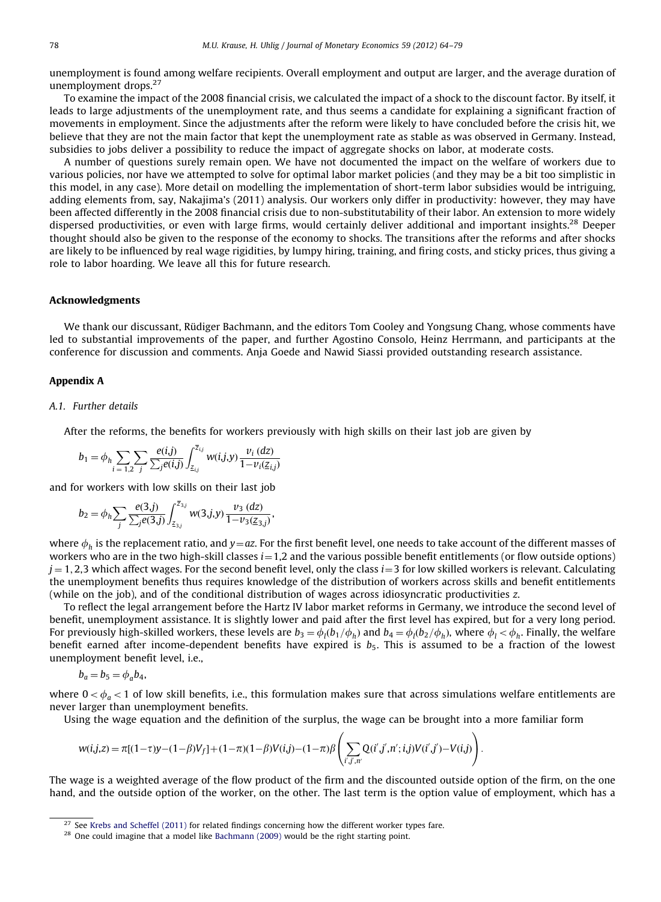unemployment is found among welfare recipients. Overall employment and output are larger, and the average duration of unemployment drops.<sup>27</sup>

To examine the impact of the 2008 financial crisis, we calculated the impact of a shock to the discount factor. By itself, it leads to large adjustments of the unemployment rate, and thus seems a candidate for explaining a significant fraction of movements in employment. Since the adjustments after the reform were likely to have concluded before the crisis hit, we believe that they are not the main factor that kept the unemployment rate as stable as was observed in Germany. Instead, subsidies to jobs deliver a possibility to reduce the impact of aggregate shocks on labor, at moderate costs.

A number of questions surely remain open. We have not documented the impact on the welfare of workers due to various policies, nor have we attempted to solve for optimal labor market policies (and they may be a bit too simplistic in this model, in any case). More detail on modelling the implementation of short-term labor subsidies would be intriguing, adding elements from, say, Nakajima's (2011) analysis. Our workers only differ in productivity: however, they may have been affected differently in the 2008 financial crisis due to non-substitutability of their labor. An extension to more widely dispersed productivities, or even with large firms, would certainly deliver additional and important insights.<sup>28</sup> Deeper thought should also be given to the response of the economy to shocks. The transitions after the reforms and after shocks are likely to be influenced by real wage rigidities, by lumpy hiring, training, and firing costs, and sticky prices, thus giving a role to labor hoarding. We leave all this for future research.

#### Acknowledgments

We thank our discussant, Rüdiger Bachmann, and the editors Tom Cooley and Yongsung Chang, whose comments have led to substantial improvements of the paper, and further Agostino Consolo, Heinz Herrmann, and participants at the conference for discussion and comments. Anja Goede and Nawid Siassi provided outstanding research assistance.

#### Appendix A

#### A.1. Further details

After the reforms, the benefits for workers previously with high skills on their last job are given by

$$
b_1 = \phi_h \sum_{i=1,2} \sum_j \frac{e(i,j)}{\sum_j e(i,j)} \int_{\underline{z}_{i,j}}^{\overline{z}_{i,j}} w(i,j,y) \frac{\nu_i(dz)}{1 - \nu_i(\underline{z}_{i,j})}
$$

and for workers with low skills on their last job

$$
b_2 = \phi_h \sum_j \frac{e(3,j)}{\sum_j e(3,j)} \int_{\underline{z}_{3,j}}^{\overline{z}_{3,j}} w(3,j,y) \frac{\nu_3 (dz)}{1 - \nu_3(\underline{z}_{3,j})},
$$

where  $\phi_h$  is the replacement ratio, and  $y = az$ . For the first benefit level, one needs to take account of the different masses of workers who are in the two high-skill classes  $i=1,2$  and the various possible benefit entitlements (or flow outside options)  $j = 1, 2, 3$  which affect wages. For the second benefit level, only the class  $i = 3$  for low skilled workers is relevant. Calculating the unemployment benefits thus requires knowledge of the distribution of workers across skills and benefit entitlements (while on the job), and of the conditional distribution of wages across idiosyncratic productivities z.

To reflect the legal arrangement before the Hartz IV labor market reforms in Germany, we introduce the second level of benefit, unemployment assistance. It is slightly lower and paid after the first level has expired, but for a very long period. For previously high-skilled workers, these levels are  $b_3=\phi_l(b_1/\phi_h)$  and  $b_4=\phi_l(b_2/\phi_h)$ , where  $\phi_l<\phi_h$ . Finally, the welfare benefit earned after income-dependent benefits have expired is  $b_5$ . This is assumed to be a fraction of the lowest unemployment benefit level, i.e.,

$$
b_a = b_5 = \phi_a b_4,
$$

where  $0<\phi_a<1$  of low skill benefits, i.e., this formulation makes sure that across simulations welfare entitlements are never larger than unemployment benefits.

Using the wage equation and the definition of the surplus, the wage can be brought into a more familiar form

$$
w(i,j,z) = \pi[(1-\tau)y - (1-\beta)V_f] + (1-\pi)(1-\beta)V(i,j) - (1-\pi)\beta \left(\sum_{i',j',n'} Q(i',j',n';i,j)V(i',j') - V(i,j)\right).
$$

The wage is a weighted average of the flow product of the firm and the discounted outside option of the firm, on the one hand, and the outside option of the worker, on the other. The last term is the option value of employment, which has a

 $27$  See [Krebs and Scheffel \(2011\)](#page-15-0) for related findings concerning how the different worker types fare.

<sup>&</sup>lt;sup>28</sup> One could imagine that a model like [Bachmann \(2009\)](#page-15-0) would be the right starting point.